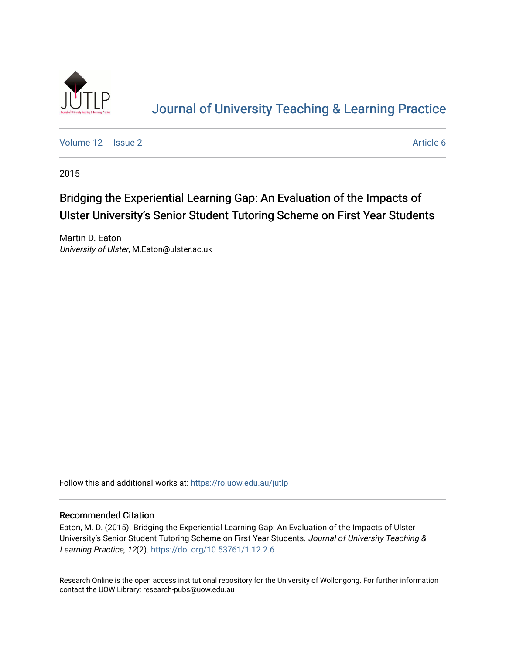

# [Journal of University Teaching & Learning Practice](https://ro.uow.edu.au/jutlp)

[Volume 12](https://ro.uow.edu.au/jutlp/vol12) | [Issue 2](https://ro.uow.edu.au/jutlp/vol12/iss2) Article 6

2015

## Bridging the Experiential Learning Gap: An Evaluation of the Impacts of Ulster University's Senior Student Tutoring Scheme on First Year Students

Martin D. Eaton University of Ulster, M.Eaton@ulster.ac.uk

Follow this and additional works at: [https://ro.uow.edu.au/jutlp](https://ro.uow.edu.au/jutlp?utm_source=ro.uow.edu.au%2Fjutlp%2Fvol12%2Fiss2%2F6&utm_medium=PDF&utm_campaign=PDFCoverPages) 

## Recommended Citation

Eaton, M. D. (2015). Bridging the Experiential Learning Gap: An Evaluation of the Impacts of Ulster University's Senior Student Tutoring Scheme on First Year Students. Journal of University Teaching & Learning Practice, 12(2). <https://doi.org/10.53761/1.12.2.6>

Research Online is the open access institutional repository for the University of Wollongong. For further information contact the UOW Library: research-pubs@uow.edu.au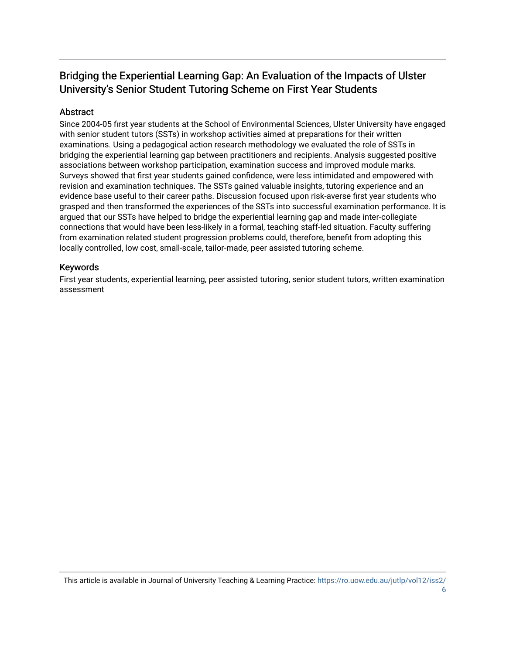## Bridging the Experiential Learning Gap: An Evaluation of the Impacts of Ulster University's Senior Student Tutoring Scheme on First Year Students

## Abstract

Since 2004-05 first year students at the School of Environmental Sciences, Ulster University have engaged with senior student tutors (SSTs) in workshop activities aimed at preparations for their written examinations. Using a pedagogical action research methodology we evaluated the role of SSTs in bridging the experiential learning gap between practitioners and recipients. Analysis suggested positive associations between workshop participation, examination success and improved module marks. Surveys showed that first year students gained confidence, were less intimidated and empowered with revision and examination techniques. The SSTs gained valuable insights, tutoring experience and an evidence base useful to their career paths. Discussion focused upon risk-averse first year students who grasped and then transformed the experiences of the SSTs into successful examination performance. It is argued that our SSTs have helped to bridge the experiential learning gap and made inter-collegiate connections that would have been less-likely in a formal, teaching staff-led situation. Faculty suffering from examination related student progression problems could, therefore, benefit from adopting this locally controlled, low cost, small-scale, tailor-made, peer assisted tutoring scheme.

## Keywords

First year students, experiential learning, peer assisted tutoring, senior student tutors, written examination assessment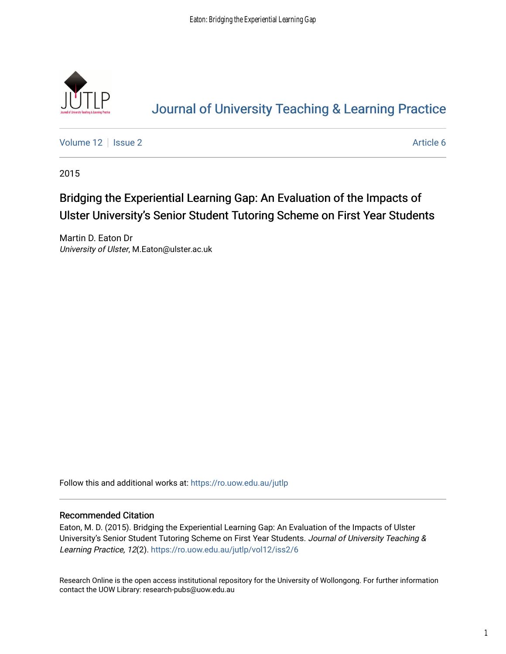

# [Journal of University Teaching & Learning Practice](https://ro.uow.edu.au/jutlp)

[Volume 12](https://ro.uow.edu.au/jutlp/vol12) | [Issue 2](https://ro.uow.edu.au/jutlp/vol12/iss2) Article 6

2015

## Bridging the Experiential Learning Gap: An Evaluation of the Impacts of Ulster University's Senior Student Tutoring Scheme on First Year Students

Martin D. Eaton Dr University of Ulster, M.Eaton@ulster.ac.uk

Follow this and additional works at: [https://ro.uow.edu.au/jutlp](https://ro.uow.edu.au/jutlp?utm_source=ro.uow.edu.au%2Fjutlp%2Fvol12%2Fiss2%2F6&utm_medium=PDF&utm_campaign=PDFCoverPages) 

## Recommended Citation

Eaton, M. D. (2015). Bridging the Experiential Learning Gap: An Evaluation of the Impacts of Ulster University's Senior Student Tutoring Scheme on First Year Students. Journal of University Teaching & Learning Practice, 12(2). [https://ro.uow.edu.au/jutlp/vol12/iss2/6](https://ro.uow.edu.au/jutlp/vol12/iss2/6?utm_source=ro.uow.edu.au%2Fjutlp%2Fvol12%2Fiss2%2F6&utm_medium=PDF&utm_campaign=PDFCoverPages)

Research Online is the open access institutional repository for the University of Wollongong. For further information contact the UOW Library: research-pubs@uow.edu.au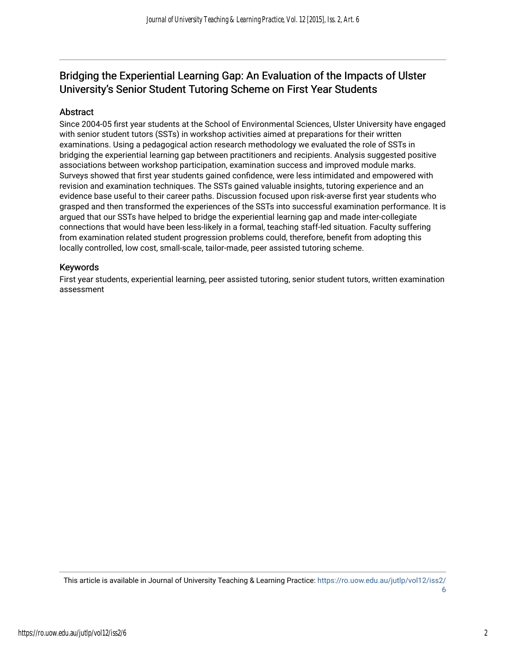## Bridging the Experiential Learning Gap: An Evaluation of the Impacts of Ulster University's Senior Student Tutoring Scheme on First Year Students

## **Abstract**

Since 2004-05 first year students at the School of Environmental Sciences, Ulster University have engaged with senior student tutors (SSTs) in workshop activities aimed at preparations for their written examinations. Using a pedagogical action research methodology we evaluated the role of SSTs in bridging the experiential learning gap between practitioners and recipients. Analysis suggested positive associations between workshop participation, examination success and improved module marks. Surveys showed that first year students gained confidence, were less intimidated and empowered with revision and examination techniques. The SSTs gained valuable insights, tutoring experience and an evidence base useful to their career paths. Discussion focused upon risk-averse first year students who grasped and then transformed the experiences of the SSTs into successful examination performance. It is argued that our SSTs have helped to bridge the experiential learning gap and made inter-collegiate connections that would have been less-likely in a formal, teaching staff-led situation. Faculty suffering from examination related student progression problems could, therefore, benefit from adopting this locally controlled, low cost, small-scale, tailor-made, peer assisted tutoring scheme.

## Keywords

First year students, experiential learning, peer assisted tutoring, senior student tutors, written examination assessment

This article is available in Journal of University Teaching & Learning Practice: [https://ro.uow.edu.au/jutlp/vol12/iss2/](https://ro.uow.edu.au/jutlp/vol12/iss2/6) [6](https://ro.uow.edu.au/jutlp/vol12/iss2/6)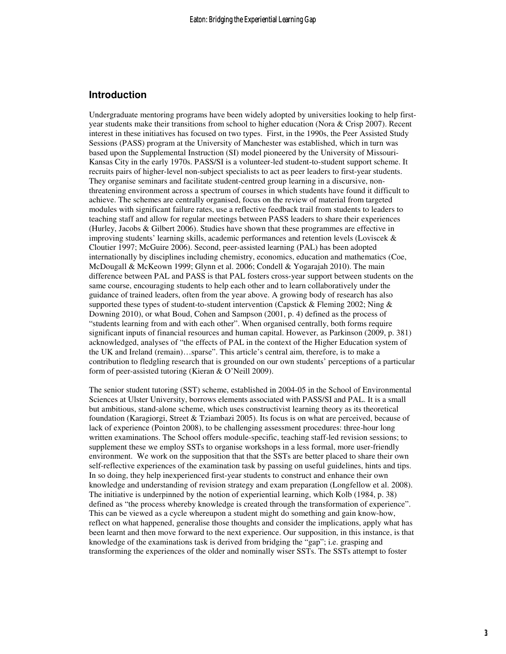## **Introduction**

Undergraduate mentoring programs have been widely adopted by universities looking to help firstyear students make their transitions from school to higher education (Nora & Crisp 2007). Recent interest in these initiatives has focused on two types. First, in the 1990s, the Peer Assisted Study Sessions (PASS) program at the University of Manchester was established, which in turn was based upon the Supplemental Instruction (SI) model pioneered by the University of Missouri-Kansas City in the early 1970s. PASS/SI is a volunteer-led student-to-student support scheme. It recruits pairs of higher-level non-subject specialists to act as peer leaders to first-year students. They organise seminars and facilitate student-centred group learning in a discursive, nonthreatening environment across a spectrum of courses in which students have found it difficult to achieve. The schemes are centrally organised, focus on the review of material from targeted modules with significant failure rates, use a reflective feedback trail from students to leaders to teaching staff and allow for regular meetings between PASS leaders to share their experiences (Hurley, Jacobs & Gilbert 2006). Studies have shown that these programmes are effective in improving students' learning skills, academic performances and retention levels (Loviscek & Cloutier 1997; McGuire 2006). Second, peer-assisted learning (PAL) has been adopted internationally by disciplines including chemistry, economics, education and mathematics (Coe, McDougall & McKeown 1999; Glynn et al. 2006; Condell & Yogarajah 2010). The main difference between PAL and PASS is that PAL fosters cross-year support between students on the same course, encouraging students to help each other and to learn collaboratively under the guidance of trained leaders, often from the year above. A growing body of research has also supported these types of student-to-student intervention (Capstick & Fleming 2002; Ning & Downing 2010), or what Boud, Cohen and Sampson (2001, p. 4) defined as the process of "students learning from and with each other". When organised centrally, both forms require significant inputs of financial resources and human capital. However, as Parkinson (2009, p. 381) acknowledged, analyses of "the effects of PAL in the context of the Higher Education system of the UK and Ireland (remain)…sparse". This article's central aim, therefore, is to make a contribution to fledgling research that is grounded on our own students' perceptions of a particular form of peer-assisted tutoring (Kieran & O'Neill 2009).

The senior student tutoring (SST) scheme, established in 2004-05 in the School of Environmental Sciences at Ulster University, borrows elements associated with PASS/SI and PAL. It is a small but ambitious, stand-alone scheme, which uses constructivist learning theory as its theoretical foundation (Karagiorgi, Street & Tziambazi 2005). Its focus is on what are perceived, because of lack of experience (Pointon 2008), to be challenging assessment procedures: three-hour long written examinations. The School offers module-specific, teaching staff-led revision sessions; to supplement these we employ SSTs to organise workshops in a less formal, more user-friendly environment. We work on the supposition that that the SSTs are better placed to share their own self-reflective experiences of the examination task by passing on useful guidelines, hints and tips. In so doing, they help inexperienced first-year students to construct and enhance their own knowledge and understanding of revision strategy and exam preparation (Longfellow et al. 2008). The initiative is underpinned by the notion of experiential learning, which Kolb (1984, p. 38) defined as "the process whereby knowledge is created through the transformation of experience". This can be viewed as a cycle whereupon a student might do something and gain know-how, reflect on what happened, generalise those thoughts and consider the implications, apply what has been learnt and then move forward to the next experience. Our supposition, in this instance, is that knowledge of the examinations task is derived from bridging the "gap"; i.e. grasping and transforming the experiences of the older and nominally wiser SSTs. The SSTs attempt to foster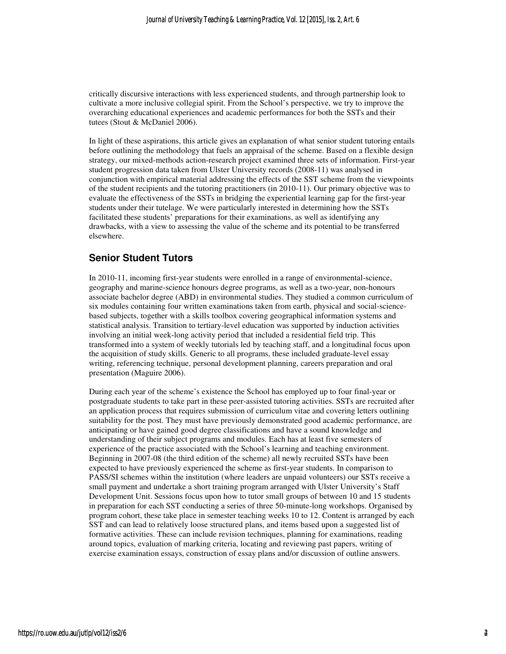critically discursive interactions with less experienced students, and through partnership look to cultivate a more inclusive collegial spirit. From the School's perspective, we try to improve the overarching educational experiences and academic performances for both the SSTs and their tutees (Stout & McDaniel 2006).

In light of these aspirations, this article gives an explanation of what senior student tutoring entails before outlining the methodology that fuels an appraisal of the scheme. Based on a flexible design strategy, our mixed-methods action-research project examined three sets of information. First-year student progression data taken from Ulster University records (2008-11) was analysed in conjunction with empirical material addressing the effects of the SST scheme from the viewpoints of the student recipients and the tutoring practitioners (in 2010-11). Our primary objective was to evaluate the effectiveness of the SSTs in bridging the experiential learning gap for the first-year students under their tutelage. We were particularly interested in determining how the SSTs facilitated these students' preparations for their examinations, as well as identifying any drawbacks, with a view to assessing the value of the scheme and its potential to be transferred elsewhere.

## **Senior Student Tutors**

In 2010-11, incoming first-year students were enrolled in a range of environmental-science, geography and marine-science honours degree programs, as well as a two-year, non-honours associate bachelor degree (ABD) in environmental studies. They studied a common curriculum of six modules containing four written examinations taken from earth, physical and social-sciencebased subjects, together with a skills toolbox covering geographical information systems and statistical analysis. Transition to tertiary-level education was supported by induction activities involving an initial week-long activity period that included a residential field trip. This transformed into a system of weekly tutorials led by teaching staff, and a longitudinal focus upon the acquisition of study skills. Generic to all programs, these included graduate-level essay writing, referencing technique, personal development planning, careers preparation and oral presentation (Maguire 2006).

During each year of the scheme's existence the School has employed up to four final-year or postgraduate students to take part in these peer-assisted tutoring activities. SSTs are recruited after an application process that requires submission of curriculum vitae and covering letters outlining suitability for the post. They must have previously demonstrated good academic performance, are anticipating or have gained good degree classifications and have a sound knowledge and understanding of their subject programs and modules. Each has at least five semesters of experience of the practice associated with the School's learning and teaching environment. Beginning in 2007-08 (the third edition of the scheme) all newly recruited SSTs have been expected to have previously experienced the scheme as first-year students. In comparison to PASS/SI schemes within the institution (where leaders are unpaid volunteers) our SSTs receive a small payment and undertake a short training program arranged with Ulster University's Staff Development Unit. Sessions focus upon how to tutor small groups of between 10 and 15 students in preparation for each SST conducting a series of three 50-minute-long workshops. Organised by program cohort, these take place in semester teaching weeks 10 to 12. Content is arranged by each SST and can lead to relatively loose structured plans, and items based upon a suggested list of formative activities. These can include revision techniques, planning for examinations, reading around topics, evaluation of marking criteria, locating and reviewing past papers, writing of exercise examination essays, construction of essay plans and/or discussion of outline answers.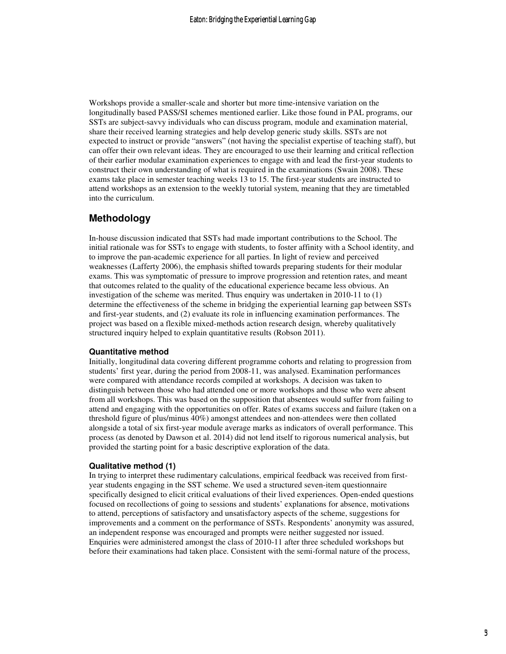Workshops provide a smaller-scale and shorter but more time-intensive variation on the longitudinally based PASS/SI schemes mentioned earlier. Like those found in PAL programs, our SSTs are subject-savvy individuals who can discuss program, module and examination material, share their received learning strategies and help develop generic study skills. SSTs are not expected to instruct or provide "answers" (not having the specialist expertise of teaching staff), but can offer their own relevant ideas. They are encouraged to use their learning and critical reflection of their earlier modular examination experiences to engage with and lead the first-year students to construct their own understanding of what is required in the examinations (Swain 2008). These exams take place in semester teaching weeks 13 to 15. The first-year students are instructed to attend workshops as an extension to the weekly tutorial system, meaning that they are timetabled into the curriculum.

## **Methodology**

In-house discussion indicated that SSTs had made important contributions to the School. The initial rationale was for SSTs to engage with students, to foster affinity with a School identity, and to improve the pan-academic experience for all parties. In light of review and perceived weaknesses (Lafferty 2006), the emphasis shifted towards preparing students for their modular exams. This was symptomatic of pressure to improve progression and retention rates, and meant that outcomes related to the quality of the educational experience became less obvious. An investigation of the scheme was merited. Thus enquiry was undertaken in 2010-11 to (1) determine the effectiveness of the scheme in bridging the experiential learning gap between SSTs and first-year students, and (2) evaluate its role in influencing examination performances. The project was based on a flexible mixed-methods action research design, whereby qualitatively structured inquiry helped to explain quantitative results (Robson 2011).

#### **Quantitative method**

Initially, longitudinal data covering different programme cohorts and relating to progression from students' first year, during the period from 2008-11, was analysed. Examination performances were compared with attendance records compiled at workshops. A decision was taken to distinguish between those who had attended one or more workshops and those who were absent from all workshops. This was based on the supposition that absentees would suffer from failing to attend and engaging with the opportunities on offer. Rates of exams success and failure (taken on a threshold figure of plus/minus 40%) amongst attendees and non-attendees were then collated alongside a total of six first-year module average marks as indicators of overall performance. This process (as denoted by Dawson et al. 2014) did not lend itself to rigorous numerical analysis, but provided the starting point for a basic descriptive exploration of the data.

#### **Qualitative method (1)**

In trying to interpret these rudimentary calculations, empirical feedback was received from firstyear students engaging in the SST scheme. We used a structured seven-item questionnaire specifically designed to elicit critical evaluations of their lived experiences. Open-ended questions focused on recollections of going to sessions and students' explanations for absence, motivations to attend, perceptions of satisfactory and unsatisfactory aspects of the scheme, suggestions for improvements and a comment on the performance of SSTs. Respondents' anonymity was assured, an independent response was encouraged and prompts were neither suggested nor issued. Enquiries were administered amongst the class of 2010-11 after three scheduled workshops but before their examinations had taken place. Consistent with the semi-formal nature of the process,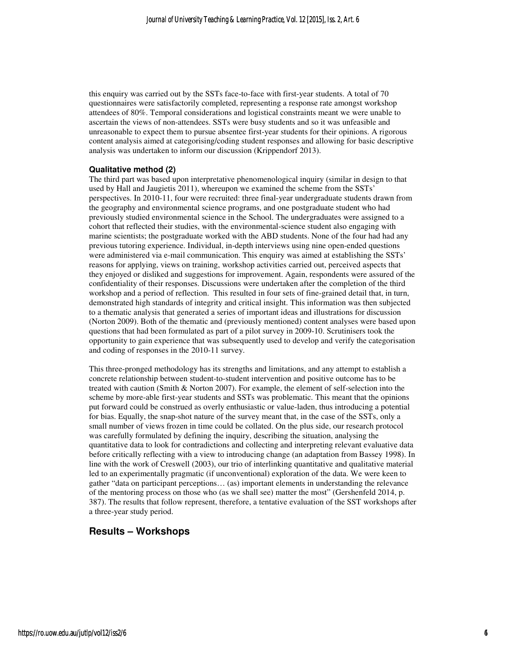this enquiry was carried out by the SSTs face-to-face with first-year students. A total of 70 questionnaires were satisfactorily completed, representing a response rate amongst workshop attendees of 80%. Temporal considerations and logistical constraints meant we were unable to ascertain the views of non-attendees. SSTs were busy students and so it was unfeasible and unreasonable to expect them to pursue absentee first-year students for their opinions. A rigorous content analysis aimed at categorising/coding student responses and allowing for basic descriptive analysis was undertaken to inform our discussion (Krippendorf 2013).

#### **Qualitative method (2)**

The third part was based upon interpretative phenomenological inquiry (similar in design to that used by Hall and Jaugietis 2011), whereupon we examined the scheme from the SSTs' perspectives. In 2010-11, four were recruited: three final-year undergraduate students drawn from the geography and environmental science programs, and one postgraduate student who had previously studied environmental science in the School. The undergraduates were assigned to a cohort that reflected their studies, with the environmental-science student also engaging with marine scientists; the postgraduate worked with the ABD students. None of the four had had any previous tutoring experience. Individual, in-depth interviews using nine open-ended questions were administered via e-mail communication. This enquiry was aimed at establishing the SSTs' reasons for applying, views on training, workshop activities carried out, perceived aspects that they enjoyed or disliked and suggestions for improvement. Again, respondents were assured of the confidentiality of their responses. Discussions were undertaken after the completion of the third workshop and a period of reflection. This resulted in four sets of fine-grained detail that, in turn, demonstrated high standards of integrity and critical insight. This information was then subjected to a thematic analysis that generated a series of important ideas and illustrations for discussion (Norton 2009). Both of the thematic and (previously mentioned) content analyses were based upon questions that had been formulated as part of a pilot survey in 2009-10. Scrutinisers took the opportunity to gain experience that was subsequently used to develop and verify the categorisation and coding of responses in the 2010-11 survey.

This three-pronged methodology has its strengths and limitations, and any attempt to establish a concrete relationship between student-to-student intervention and positive outcome has to be treated with caution (Smith & Norton 2007). For example, the element of self-selection into the scheme by more-able first-year students and SSTs was problematic. This meant that the opinions put forward could be construed as overly enthusiastic or value-laden, thus introducing a potential for bias. Equally, the snap-shot nature of the survey meant that, in the case of the SSTs, only a small number of views frozen in time could be collated. On the plus side, our research protocol was carefully formulated by defining the inquiry, describing the situation, analysing the quantitative data to look for contradictions and collecting and interpreting relevant evaluative data before critically reflecting with a view to introducing change (an adaptation from Bassey 1998). In line with the work of Creswell (2003), our trio of interlinking quantitative and qualitative material led to an experimentally pragmatic (if unconventional) exploration of the data. We were keen to gather "data on participant perceptions… (as) important elements in understanding the relevance of the mentoring process on those who (as we shall see) matter the most" (Gershenfeld 2014, p. 387). The results that follow represent, therefore, a tentative evaluation of the SST workshops after a three-year study period.

## **Results – Workshops**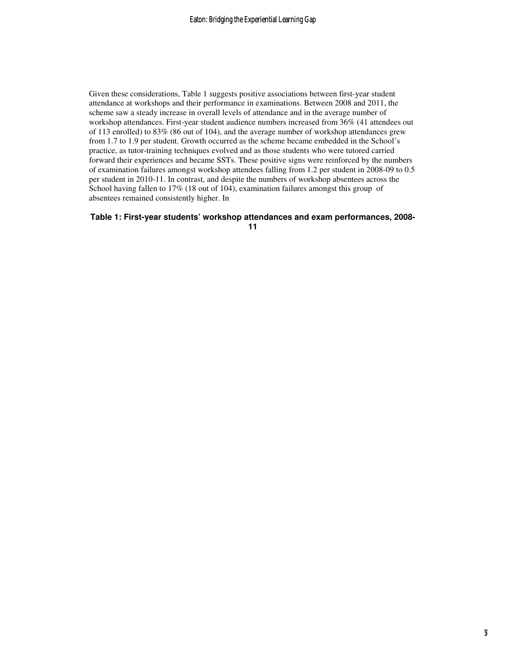Given these considerations, Table 1 suggests positive associations between first-year student attendance at workshops and their performance in examinations. Between 2008 and 2011, the scheme saw a steady increase in overall levels of attendance and in the average number of workshop attendances. First-year student audience numbers increased from 36% (41 attendees out of 113 enrolled) to 83% (86 out of 104), and the average number of workshop attendances grew from 1.7 to 1.9 per student. Growth occurred as the scheme became embedded in the School's practice, as tutor-training techniques evolved and as those students who were tutored carried forward their experiences and became SSTs. These positive signs were reinforced by the numbers of examination failures amongst workshop attendees falling from 1.2 per student in 2008-09 to 0.5 per student in 2010-11. In contrast, and despite the numbers of workshop absentees across the School having fallen to 17% (18 out of 104), examination failures amongst this group of absentees remained consistently higher. In

#### **Table 1: First-year students' workshop attendances and exam performances, 2008-**

**11**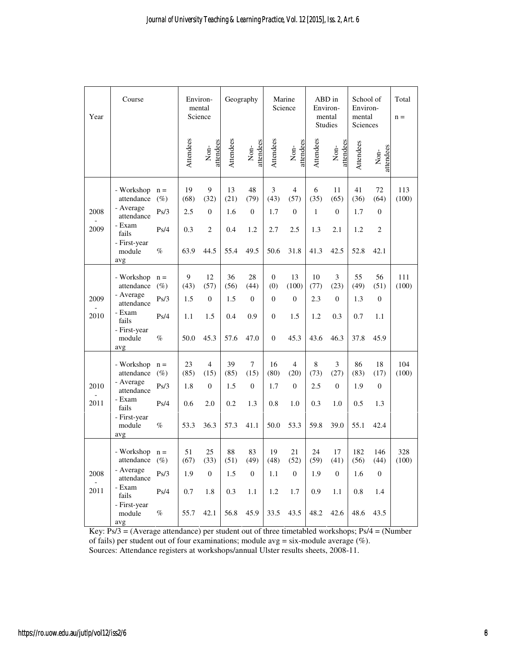| Year         | Course                                                                                 |                                 | Environ-                 | mental<br>Science                                 |                          | Geography                                     |                                                 | Marine<br>Science                               |                          | ABD in<br>Environ-<br>mental<br><b>Studies</b> | School of<br>Environ-<br>mental<br>Sciences |                                   | Total<br>$n =$ |
|--------------|----------------------------------------------------------------------------------------|---------------------------------|--------------------------|---------------------------------------------------|--------------------------|-----------------------------------------------|-------------------------------------------------|-------------------------------------------------|--------------------------|------------------------------------------------|---------------------------------------------|-----------------------------------|----------------|
|              |                                                                                        |                                 | Attendees                | attendees<br>$\mbox{Non-}$                        | Attendees                | attendees<br>$\mbox{Non-}$                    | Attendees                                       | attendees<br>$\mbox{Non-}$                      | Attendees                | Non-<br>attendees                              | Attendees                                   | attendees<br>$Non-$               |                |
| 2008         | - Workshop<br>attendance<br>- Average<br>attendance                                    | $n =$<br>$(\%)$<br>Ps/3         | 19<br>(68)<br>2.5        | 9<br>(32)<br>$\mathbf{0}$                         | 13<br>(21)<br>1.6        | 48<br>(79)<br>$\mathbf{0}$                    | $\mathfrak{Z}$<br>(43)<br>1.7                   | $\overline{4}$<br>(57)<br>$\mathbf{0}$          | 6<br>(35)<br>1           | 11<br>(65)<br>$\mathbf{0}$                     | 41<br>(36)<br>1.7                           | 72<br>(64)<br>$\mathbf{0}$        | 113<br>(100)   |
| 2009         | - Exam<br>fails<br>- First-year<br>module<br>avg                                       | Ps/4<br>$\%$                    | 0.3<br>63.9              | $\overline{2}$<br>44.5                            | 0.4<br>55.4              | 1.2<br>49.5                                   | 2.7<br>50.6                                     | 2.5<br>31.8                                     | 1.3<br>41.3              | 2.1<br>42.5                                    | 1.2<br>52.8                                 | $\mathfrak{2}$<br>42.1            |                |
| 2009<br>2010 | - Workshop<br>attendance<br>- Average<br>attendance<br>- Exam<br>fails                 | $n =$<br>$(\%)$<br>Ps/3<br>Ps/4 | 9<br>(43)<br>1.5<br>1.1  | 12<br>(57)<br>$\mathbf{0}$<br>1.5                 | 36<br>(56)<br>1.5<br>0.4 | 28<br>(44)<br>$\mathbf{0}$<br>0.9             | $\boldsymbol{0}$<br>(0)<br>$\theta$<br>$\theta$ | 13<br>(100)<br>$\Omega$<br>1.5                  | 10<br>(77)<br>2.3<br>1.2 | 3<br>(23)<br>$\mathbf{0}$<br>0.3               | 55<br>(49)<br>1.3<br>0.7                    | 56<br>(51)<br>$\mathbf{0}$<br>1.1 | 111<br>(100)   |
|              | - First-year<br>module<br>avg                                                          | $\%$                            | 50.0                     | 45.3                                              | 57.6                     | 47.0                                          | $\overline{0}$                                  | 45.3                                            | 43.6                     | 46.3                                           | 37.8                                        | 45.9                              |                |
| 2010<br>2011 | - Workshop<br>attendance<br>- Average<br>attendance<br>- Exam<br>fails<br>- First-year | $n =$<br>$(\%)$<br>Ps/3<br>Ps/4 | 23<br>(85)<br>1.8<br>0.6 | $\overline{4}$<br>(15)<br>$\boldsymbol{0}$<br>2.0 | 39<br>(85)<br>1.5<br>0.2 | $\overline{7}$<br>(15)<br>$\mathbf{0}$<br>1.3 | 16<br>(80)<br>1.7<br>0.8                        | $\overline{4}$<br>(20)<br>$\overline{0}$<br>1.0 | 8<br>(73)<br>2.5<br>0.3  | 3<br>(27)<br>$\theta$<br>1.0                   | 86<br>(83)<br>1.9<br>0.5                    | 18<br>(17)<br>$\mathbf{0}$<br>1.3 | 104<br>(100)   |
|              | module<br>avg                                                                          | %                               | 53.3                     | 36.3                                              | 57.3                     | 41.1                                          | 50.0                                            | 53.3                                            | 59.8                     | 39.0                                           | 55.1                                        | 42.4                              |                |
| 2008         | - Workshop $n =$<br>attendance<br>- Average                                            | $(\%)$<br>Ps/3                  | 51<br>(67)<br>1.9        | 25<br>(33)<br>$\boldsymbol{0}$                    | 88<br>(51)<br>1.5        | 83<br>(49)<br>$\mathbf{0}$                    | 19<br>(48)<br>$1.1\,$                           | 21<br>(52)<br>$\mathbf{0}$                      | 24<br>(59)<br>1.9        | 17<br>(41)<br>$\overline{0}$                   | 182<br>(56)<br>1.6                          | 146<br>(44)<br>$\boldsymbol{0}$   | 328<br>(100)   |
| 2011         | attendance<br>- Exam<br>fails<br>- First-year                                          | Ps/4                            | 0.7                      | 1.8                                               | 0.3                      | $1.1\,$                                       | 1.2                                             | 1.7                                             | 0.9                      | 1.1                                            | $0.8\,$                                     | 1.4                               |                |
|              | module<br>avg                                                                          | $\%$                            | 55.7                     | 42.1                                              | 56.8                     | 45.9                                          | 33.5                                            | 43.5                                            | 48.2                     | 42.6                                           | 48.6                                        | 43.5                              |                |

Key: Ps/3 = (Average attendance) per student out of three timetabled workshops; Ps/4 = (Number of fails) per student out of four examinations; module avg = six-module average (%). Sources: Attendance registers at workshops/annual Ulster results sheets, 2008-11.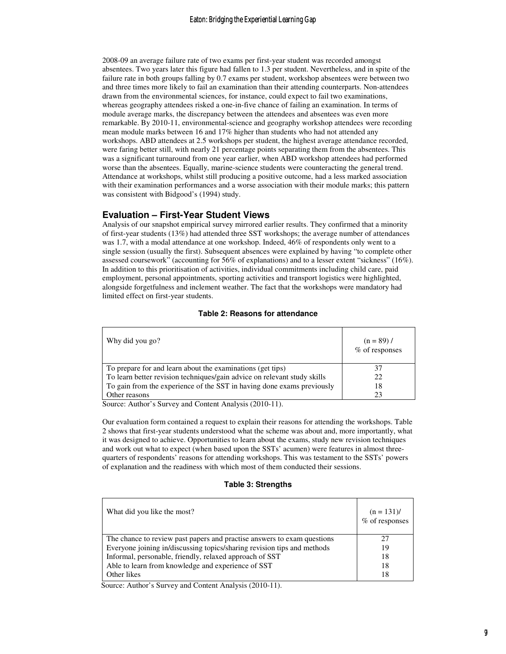2008-09 an average failure rate of two exams per first-year student was recorded amongst absentees. Two years later this figure had fallen to 1.3 per student. Nevertheless, and in spite of the failure rate in both groups falling by 0.7 exams per student, workshop absentees were between two and three times more likely to fail an examination than their attending counterparts. Non-attendees drawn from the environmental sciences, for instance, could expect to fail two examinations, whereas geography attendees risked a one-in-five chance of failing an examination. In terms of module average marks, the discrepancy between the attendees and absentees was even more remarkable. By 2010-11, environmental-science and geography workshop attendees were recording mean module marks between 16 and 17% higher than students who had not attended any workshops. ABD attendees at 2.5 workshops per student, the highest average attendance recorded, were faring better still, with nearly 21 percentage points separating them from the absentees. This was a significant turnaround from one year earlier, when ABD workshop attendees had performed worse than the absentees. Equally, marine-science students were counteracting the general trend. Attendance at workshops, whilst still producing a positive outcome, had a less marked association with their examination performances and a worse association with their module marks; this pattern was consistent with Bidgood's (1994) study.

### **Evaluation – First-Year Student Views**

Analysis of our snapshot empirical survey mirrored earlier results. They confirmed that a minority of first-year students (13%) had attended three SST workshops; the average number of attendances was 1.7, with a modal attendance at one workshop. Indeed, 46% of respondents only went to a single session (usually the first). Subsequent absences were explained by having "to complete other assessed coursework" (accounting for 56% of explanations) and to a lesser extent "sickness" (16%). In addition to this prioritisation of activities, individual commitments including child care, paid employment, personal appointments, sporting activities and transport logistics were highlighted, alongside forgetfulness and inclement weather. The fact that the workshops were mandatory had limited effect on first-year students.

| Why did you go?                                                          | $(n = 89)$ /<br>% of responses |
|--------------------------------------------------------------------------|--------------------------------|
| To prepare for and learn about the examinations (get tips)               | 37                             |
| To learn better revision techniques/gain advice on relevant study skills | 22                             |
| To gain from the experience of the SST in having done exams previously   | 18                             |
| Other reasons                                                            | 23                             |

#### **Table 2: Reasons for attendance**

Source: Author's Survey and Content Analysis (2010-11).

Our evaluation form contained a request to explain their reasons for attending the workshops. Table 2 shows that first-year students understood what the scheme was about and, more importantly, what it was designed to achieve. Opportunities to learn about the exams, study new revision techniques and work out what to expect (when based upon the SSTs' acumen) were features in almost threequarters of respondents' reasons for attending workshops. This was testament to the SSTs' powers of explanation and the readiness with which most of them conducted their sessions.

#### **Table 3: Strengths**

| What did you like the most?                                             | $(n = 131)$ /<br>% of responses |
|-------------------------------------------------------------------------|---------------------------------|
| The chance to review past papers and practise answers to exam questions | 27                              |
| Everyone joining in/discussing topics/sharing revision tips and methods | 19                              |
| Informal, personable, friendly, relaxed approach of SST                 | 18                              |
| Able to learn from knowledge and experience of SST                      | 18                              |
| Other likes                                                             | 18                              |

Source: Author's Survey and Content Analysis (2010-11).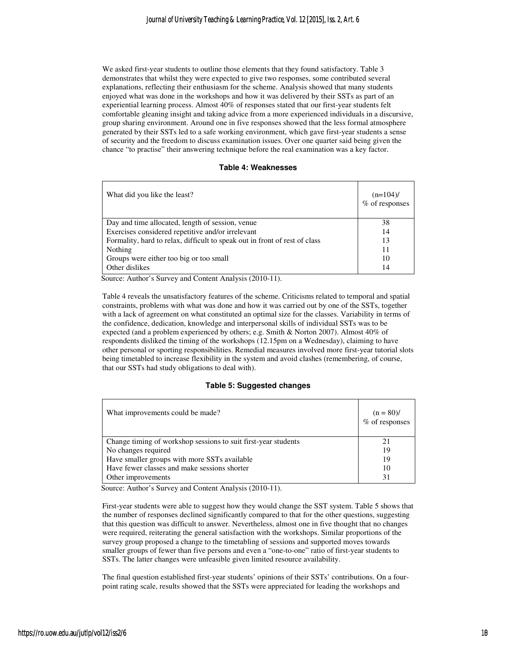We asked first-year students to outline those elements that they found satisfactory. Table 3 demonstrates that whilst they were expected to give two responses, some contributed several explanations, reflecting their enthusiasm for the scheme. Analysis showed that many students enjoyed what was done in the workshops and how it was delivered by their SSTs as part of an experiential learning process. Almost 40% of responses stated that our first-year students felt comfortable gleaning insight and taking advice from a more experienced individuals in a discursive, group sharing environment. Around one in five responses showed that the less formal atmosphere generated by their SSTs led to a safe working environment, which gave first-year students a sense of security and the freedom to discuss examination issues. Over one quarter said being given the chance "to practise" their answering technique before the real examination was a key factor.

#### **Table 4: Weaknesses**

| What did you like the least?                                               | $(n=104)$ /<br>$%$ of responses |
|----------------------------------------------------------------------------|---------------------------------|
| Day and time allocated, length of session, venue                           | 38                              |
| Exercises considered repetitive and/or irrelevant                          | 14                              |
| Formality, hard to relax, difficult to speak out in front of rest of class | 13                              |
| Nothing                                                                    | 11                              |
| Groups were either too big or too small                                    | 10                              |
| Other dislikes                                                             | 14                              |

Source: Author's Survey and Content Analysis (2010-11).

Table 4 reveals the unsatisfactory features of the scheme. Criticisms related to temporal and spatial constraints, problems with what was done and how it was carried out by one of the SSTs, together with a lack of agreement on what constituted an optimal size for the classes. Variability in terms of the confidence, dedication, knowledge and interpersonal skills of individual SSTs was to be expected (and a problem experienced by others; e.g. Smith & Norton 2007). Almost 40% of respondents disliked the timing of the workshops (12.15pm on a Wednesday), claiming to have other personal or sporting responsibilities. Remedial measures involved more first-year tutorial slots being timetabled to increase flexibility in the system and avoid clashes (remembering, of course, that our SSTs had study obligations to deal with).

#### **Table 5: Suggested changes**

| What improvements could be made?                               | $(n = 80)$ /<br>% of responses |
|----------------------------------------------------------------|--------------------------------|
| Change timing of workshop sessions to suit first-year students | 21                             |
| No changes required                                            | 19                             |
| Have smaller groups with more SSTs available                   | 19                             |
| Have fewer classes and make sessions shorter                   | 10                             |
| Other improvements                                             | 31                             |

Source: Author's Survey and Content Analysis (2010-11).

First-year students were able to suggest how they would change the SST system. Table 5 shows that the number of responses declined significantly compared to that for the other questions, suggesting that this question was difficult to answer. Nevertheless, almost one in five thought that no changes were required, reiterating the general satisfaction with the workshops. Similar proportions of the survey group proposed a change to the timetabling of sessions and supported moves towards smaller groups of fewer than five persons and even a "one-to-one" ratio of first-year students to SSTs. The latter changes were unfeasible given limited resource availability.

The final question established first-year students' opinions of their SSTs' contributions. On a fourpoint rating scale, results showed that the SSTs were appreciated for leading the workshops and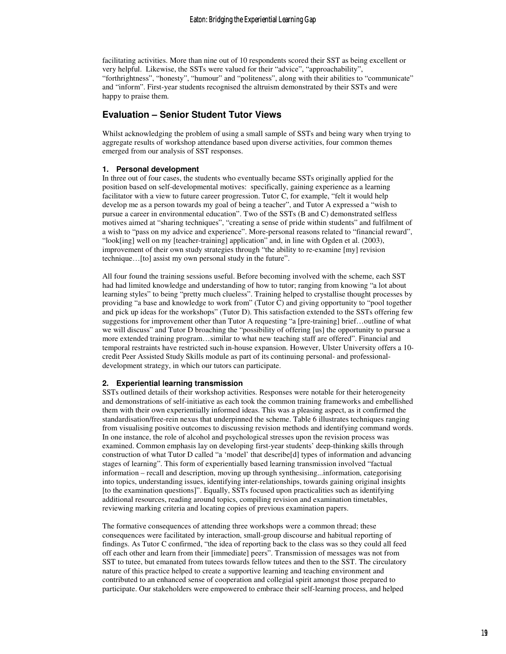facilitating activities. More than nine out of 10 respondents scored their SST as being excellent or very helpful. Likewise, the SSTs were valued for their "advice", "approachability", "forthrightness", "honesty", "humour" and "politeness", along with their abilities to "communicate" and "inform". First-year students recognised the altruism demonstrated by their SSTs and were happy to praise them.

### **Evaluation – Senior Student Tutor Views**

Whilst acknowledging the problem of using a small sample of SSTs and being wary when trying to aggregate results of workshop attendance based upon diverse activities, four common themes emerged from our analysis of SST responses.

#### **1. Personal development**

In three out of four cases, the students who eventually became SSTs originally applied for the position based on self-developmental motives: specifically, gaining experience as a learning facilitator with a view to future career progression. Tutor C, for example, "felt it would help develop me as a person towards my goal of being a teacher", and Tutor A expressed a "wish to pursue a career in environmental education". Two of the SSTs (B and C) demonstrated selfless motives aimed at "sharing techniques", "creating a sense of pride within students" and fulfilment of a wish to "pass on my advice and experience". More-personal reasons related to "financial reward", "look[ing] well on my [teacher-training] application" and, in line with Ogden et al. (2003), improvement of their own study strategies through "the ability to re-examine [my] revision technique…[to] assist my own personal study in the future".

All four found the training sessions useful. Before becoming involved with the scheme, each SST had had limited knowledge and understanding of how to tutor; ranging from knowing "a lot about learning styles" to being "pretty much clueless". Training helped to crystallise thought processes by providing "a base and knowledge to work from" (Tutor C) and giving opportunity to "pool together and pick up ideas for the workshops" (Tutor D). This satisfaction extended to the SSTs offering few suggestions for improvement other than Tutor A requesting "a [pre-training] brief…outline of what we will discuss" and Tutor D broaching the "possibility of offering [us] the opportunity to pursue a more extended training program…similar to what new teaching staff are offered". Financial and temporal restraints have restricted such in-house expansion. However, Ulster University offers a 10 credit Peer Assisted Study Skills module as part of its continuing personal- and professionaldevelopment strategy, in which our tutors can participate.

#### **2. Experiential learning transmission**

SSTs outlined details of their workshop activities. Responses were notable for their heterogeneity and demonstrations of self-initiative as each took the common training frameworks and embellished them with their own experientially informed ideas. This was a pleasing aspect, as it confirmed the standardisation/free-rein nexus that underpinned the scheme. Table 6 illustrates techniques ranging from visualising positive outcomes to discussing revision methods and identifying command words. In one instance, the role of alcohol and psychological stresses upon the revision process was examined. Common emphasis lay on developing first-year students' deep-thinking skills through construction of what Tutor D called "a 'model' that describe[d] types of information and advancing stages of learning". This form of experientially based learning transmission involved "factual information – recall and description, moving up through synthesising...information, categorising into topics, understanding issues, identifying inter-relationships, towards gaining original insights [to the examination questions]". Equally, SSTs focused upon practicalities such as identifying additional resources, reading around topics, compiling revision and examination timetables, reviewing marking criteria and locating copies of previous examination papers.

The formative consequences of attending three workshops were a common thread; these consequences were facilitated by interaction, small-group discourse and habitual reporting of findings. As Tutor C confirmed, "the idea of reporting back to the class was so they could all feed off each other and learn from their [immediate] peers". Transmission of messages was not from SST to tutee, but emanated from tutees towards fellow tutees and then to the SST. The circulatory nature of this practice helped to create a supportive learning and teaching environment and contributed to an enhanced sense of cooperation and collegial spirit amongst those prepared to participate. Our stakeholders were empowered to embrace their self-learning process, and helped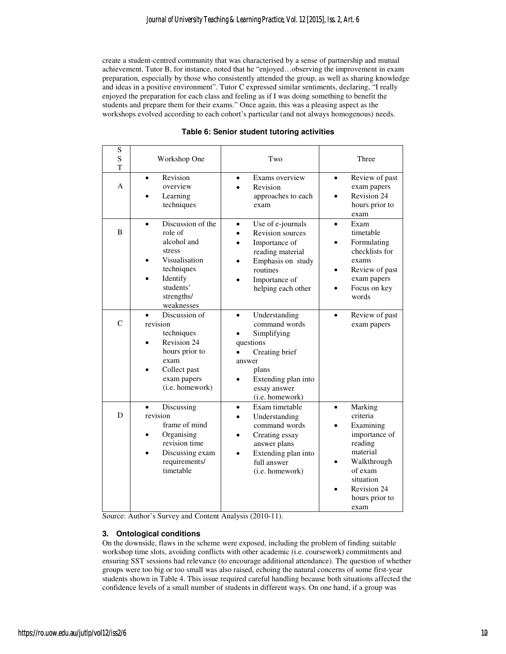create a student-centred community that was characterised by a sense of partnership and mutual achievement. Tutor B, for instance, noted that he "enjoyed…observing the improvement in exam preparation, especially by those who consistently attended the group, as well as sharing knowledge and ideas in a positive environment". Tutor C expressed similar sentiments, declaring, "I really enjoyed the preparation for each class and feeling as if I was doing something to benefit the students and prepare them for their exams." Once again, this was a pleasing aspect as the workshops evolved according to each cohort's particular (and not always homogenous) needs.

| S<br>S<br>T   | Workshop One                                                                                                                                                   | Two                                                                                                                                                                                 | Three                                                                                                                                                                 |  |  |
|---------------|----------------------------------------------------------------------------------------------------------------------------------------------------------------|-------------------------------------------------------------------------------------------------------------------------------------------------------------------------------------|-----------------------------------------------------------------------------------------------------------------------------------------------------------------------|--|--|
| А             | Revision<br>$\bullet$<br>overview<br>Learning<br>techniques                                                                                                    | Exams overview<br>$\bullet$<br>Revision<br>approaches to each<br>exam                                                                                                               | Review of past<br>$\bullet$<br>exam papers<br>Revision 24<br>hours prior to<br>exam                                                                                   |  |  |
| B             | Discussion of the<br>$\bullet$<br>role of<br>alcohol and<br>stress<br>Visualisation<br>techniques<br>Identify<br>students'<br>strengths/<br>weaknesses         | Use of e-journals<br>$\bullet$<br><b>Revision sources</b><br>Importance of<br>reading material<br>Emphasis on study<br>$\bullet$<br>routines<br>Importance of<br>helping each other | Exam<br>$\bullet$<br>timetable<br>Formulating<br>checklists for<br>exams<br>Review of past<br>exam papers<br>Focus on key<br>words                                    |  |  |
| $\mathcal{C}$ | Discussion of<br>revision<br>techniques<br>Revision 24<br>hours prior to<br>exam<br>Collect past<br>exam papers<br>(i.e. homework)                             | Understanding<br>$\bullet$<br>command words<br>Simplifying<br>questions<br>Creating brief<br>answer<br>plans<br>Extending plan into<br>essay answer<br>(i.e. homework)              | Review of past<br>$\bullet$<br>exam papers                                                                                                                            |  |  |
| D             | Discussing<br>$\bullet$<br>revision<br>frame of mind<br>Organising<br>$\bullet$<br>revision time<br>Discussing exam<br>$\bullet$<br>requirements/<br>timetable | Exam timetable<br>$\bullet$<br>Understanding<br>command words<br>Creating essay<br>answer plans<br>Extending plan into<br>full answer<br>(i.e. homework)                            | Marking<br>$\bullet$<br>criteria<br>Examining<br>importance of<br>reading<br>material<br>Walkthrough<br>of exam<br>situation<br>Revision 24<br>hours prior to<br>exam |  |  |

#### **Table 6: Senior student tutoring activities**

Source: Author's Survey and Content Analysis (2010-11).

#### **3. Ontological conditions**

On the downside, flaws in the scheme were exposed, including the problem of finding suitable workshop time slots, avoiding conflicts with other academic (i.e. coursework) commitments and ensuring SST sessions had relevance (to encourage additional attendance). The question of whether groups were too big or too small was also raised, echoing the natural concerns of some first-year students shown in Table 4. This issue required careful handling because both situations affected the confidence levels of a small number of students in different ways. On one hand, if a group was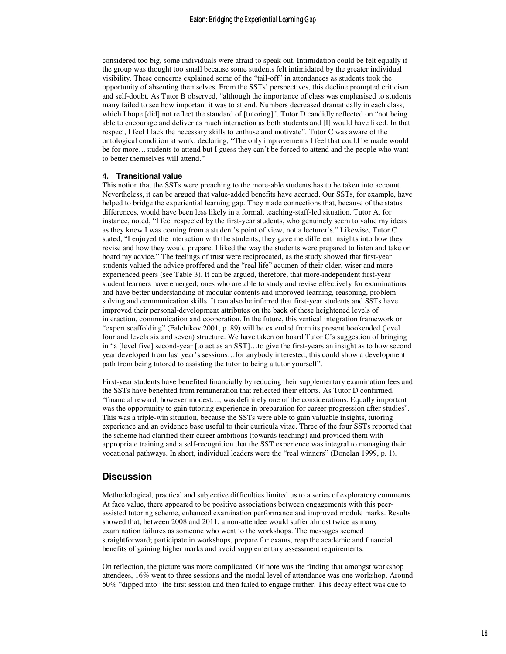considered too big, some individuals were afraid to speak out. Intimidation could be felt equally if the group was thought too small because some students felt intimidated by the greater individual visibility. These concerns explained some of the "tail-off" in attendances as students took the opportunity of absenting themselves. From the SSTs' perspectives, this decline prompted criticism and self-doubt. As Tutor B observed, "although the importance of class was emphasised to students many failed to see how important it was to attend. Numbers decreased dramatically in each class, which I hope [did] not reflect the standard of [tutoring]". Tutor D candidly reflected on "not being able to encourage and deliver as much interaction as both students and [I] would have liked. In that respect, I feel I lack the necessary skills to enthuse and motivate". Tutor C was aware of the ontological condition at work, declaring, "The only improvements I feel that could be made would be for more…students to attend but I guess they can't be forced to attend and the people who want to better themselves will attend."

#### **4. Transitional value**

This notion that the SSTs were preaching to the more-able students has to be taken into account. Nevertheless, it can be argued that value-added benefits have accrued. Our SSTs, for example, have helped to bridge the experiential learning gap. They made connections that, because of the status differences, would have been less likely in a formal, teaching-staff-led situation. Tutor A, for instance, noted, "I feel respected by the first-year students, who genuinely seem to value my ideas as they knew I was coming from a student's point of view, not a lecturer's." Likewise, Tutor C stated, "I enjoyed the interaction with the students; they gave me different insights into how they revise and how they would prepare. I liked the way the students were prepared to listen and take on board my advice." The feelings of trust were reciprocated, as the study showed that first-year students valued the advice proffered and the "real life" acumen of their older, wiser and more experienced peers (see Table 3). It can be argued, therefore, that more-independent first-year student learners have emerged; ones who are able to study and revise effectively for examinations and have better understanding of modular contents and improved learning, reasoning, problemsolving and communication skills. It can also be inferred that first-year students and SSTs have improved their personal-development attributes on the back of these heightened levels of interaction, communication and cooperation. In the future, this vertical integration framework or "expert scaffolding" (Falchikov 2001, p. 89) will be extended from its present bookended (level four and levels six and seven) structure. We have taken on board Tutor C's suggestion of bringing in "a [level five] second-year [to act as an SST]…to give the first-years an insight as to how second year developed from last year's sessions…for anybody interested, this could show a development path from being tutored to assisting the tutor to being a tutor yourself".

First-year students have benefited financially by reducing their supplementary examination fees and the SSTs have benefited from remuneration that reflected their efforts. As Tutor D confirmed, "financial reward, however modest…, was definitely one of the considerations. Equally important was the opportunity to gain tutoring experience in preparation for career progression after studies". This was a triple-win situation, because the SSTs were able to gain valuable insights, tutoring experience and an evidence base useful to their curricula vitae. Three of the four SSTs reported that the scheme had clarified their career ambitions (towards teaching) and provided them with appropriate training and a self-recognition that the SST experience was integral to managing their vocational pathways. In short, individual leaders were the "real winners" (Donelan 1999, p. 1).

### **Discussion**

Methodological, practical and subjective difficulties limited us to a series of exploratory comments. At face value, there appeared to be positive associations between engagements with this peerassisted tutoring scheme, enhanced examination performance and improved module marks. Results showed that, between 2008 and 2011, a non-attendee would suffer almost twice as many examination failures as someone who went to the workshops. The messages seemed straightforward; participate in workshops, prepare for exams, reap the academic and financial benefits of gaining higher marks and avoid supplementary assessment requirements.

On reflection, the picture was more complicated. Of note was the finding that amongst workshop attendees, 16% went to three sessions and the modal level of attendance was one workshop. Around 50% "dipped into" the first session and then failed to engage further. This decay effect was due to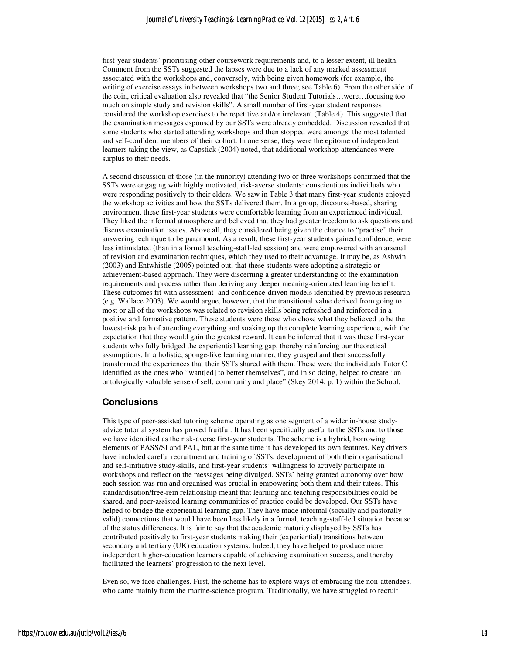first-year students' prioritising other coursework requirements and, to a lesser extent, ill health. Comment from the SSTs suggested the lapses were due to a lack of any marked assessment associated with the workshops and, conversely, with being given homework (for example, the writing of exercise essays in between workshops two and three; see Table 6). From the other side of the coin, critical evaluation also revealed that "the Senior Student Tutorials…were…focusing too much on simple study and revision skills". A small number of first-year student responses considered the workshop exercises to be repetitive and/or irrelevant (Table 4). This suggested that the examination messages espoused by our SSTs were already embedded. Discussion revealed that some students who started attending workshops and then stopped were amongst the most talented and self-confident members of their cohort. In one sense, they were the epitome of independent learners taking the view, as Capstick (2004) noted, that additional workshop attendances were surplus to their needs.

A second discussion of those (in the minority) attending two or three workshops confirmed that the SSTs were engaging with highly motivated, risk-averse students: conscientious individuals who were responding positively to their elders. We saw in Table 3 that many first-year students enjoyed the workshop activities and how the SSTs delivered them. In a group, discourse-based, sharing environment these first-year students were comfortable learning from an experienced individual. They liked the informal atmosphere and believed that they had greater freedom to ask questions and discuss examination issues. Above all, they considered being given the chance to "practise" their answering technique to be paramount. As a result, these first-year students gained confidence, were less intimidated (than in a formal teaching-staff-led session) and were empowered with an arsenal of revision and examination techniques, which they used to their advantage. It may be, as Ashwin (2003) and Entwhistle (2005) pointed out, that these students were adopting a strategic or achievement-based approach. They were discerning a greater understanding of the examination requirements and process rather than deriving any deeper meaning-orientated learning benefit. These outcomes fit with assessment- and confidence-driven models identified by previous research (e.g. Wallace 2003). We would argue, however, that the transitional value derived from going to most or all of the workshops was related to revision skills being refreshed and reinforced in a positive and formative pattern. These students were those who chose what they believed to be the lowest-risk path of attending everything and soaking up the complete learning experience, with the expectation that they would gain the greatest reward. It can be inferred that it was these first-year students who fully bridged the experiential learning gap, thereby reinforcing our theoretical assumptions. In a holistic, sponge-like learning manner, they grasped and then successfully transformed the experiences that their SSTs shared with them. These were the individuals Tutor C identified as the ones who "want[ed] to better themselves", and in so doing, helped to create "an ontologically valuable sense of self, community and place" (Skey 2014, p. 1) within the School.

## **Conclusions**

This type of peer-assisted tutoring scheme operating as one segment of a wider in-house studyadvice tutorial system has proved fruitful. It has been specifically useful to the SSTs and to those we have identified as the risk-averse first-year students. The scheme is a hybrid, borrowing elements of PASS/SI and PAL, but at the same time it has developed its own features. Key drivers have included careful recruitment and training of SSTs, development of both their organisational and self-initiative study-skills, and first-year students' willingness to actively participate in workshops and reflect on the messages being divulged. SSTs' being granted autonomy over how each session was run and organised was crucial in empowering both them and their tutees. This standardisation/free-rein relationship meant that learning and teaching responsibilities could be shared, and peer-assisted learning communities of practice could be developed. Our SSTs have helped to bridge the experiential learning gap. They have made informal (socially and pastorally valid) connections that would have been less likely in a formal, teaching-staff-led situation because of the status differences. It is fair to say that the academic maturity displayed by SSTs has contributed positively to first-year students making their (experiential) transitions between secondary and tertiary (UK) education systems. Indeed, they have helped to produce more independent higher-education learners capable of achieving examination success, and thereby facilitated the learners' progression to the next level.

Even so, we face challenges. First, the scheme has to explore ways of embracing the non-attendees, who came mainly from the marine-science program. Traditionally, we have struggled to recruit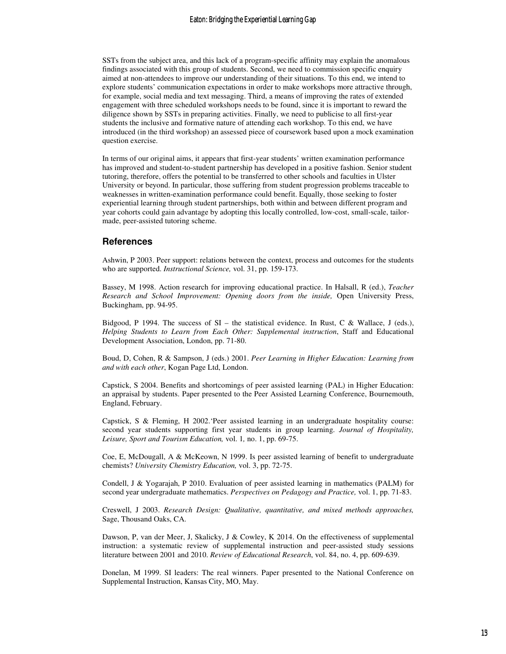SSTs from the subject area, and this lack of a program-specific affinity may explain the anomalous findings associated with this group of students. Second, we need to commission specific enquiry aimed at non-attendees to improve our understanding of their situations. To this end, we intend to explore students' communication expectations in order to make workshops more attractive through, for example, social media and text messaging. Third, a means of improving the rates of extended engagement with three scheduled workshops needs to be found, since it is important to reward the diligence shown by SSTs in preparing activities. Finally, we need to publicise to all first-year students the inclusive and formative nature of attending each workshop. To this end, we have introduced (in the third workshop) an assessed piece of coursework based upon a mock examination question exercise.

In terms of our original aims, it appears that first-year students' written examination performance has improved and student-to-student partnership has developed in a positive fashion. Senior student tutoring, therefore, offers the potential to be transferred to other schools and faculties in Ulster University or beyond. In particular, those suffering from student progression problems traceable to weaknesses in written-examination performance could benefit. Equally, those seeking to foster experiential learning through student partnerships, both within and between different program and year cohorts could gain advantage by adopting this locally controlled, low-cost, small-scale, tailormade, peer-assisted tutoring scheme.

#### **References**

Ashwin, P 2003. Peer support: relations between the context, process and outcomes for the students who are supported. *Instructional Science,* vol. 31, pp. 159-173.

Bassey, M 1998. Action research for improving educational practice. In Halsall, R (ed.), *Teacher Research and School Improvement: Opening doors from the inside,* Open University Press, Buckingham, pp. 94-95.

Bidgood, P 1994. The success of  $SI$  – the statistical evidence. In Rust, C & Wallace, J (eds.), *Helping Students to Learn from Each Other: Supplemental instruction*, Staff and Educational Development Association, London, pp. 71-80.

Boud, D, Cohen, R & Sampson, J (eds.) 2001. *Peer Learning in Higher Education: Learning from and with each other*, Kogan Page Ltd, London.

Capstick, S 2004. Benefits and shortcomings of peer assisted learning (PAL) in Higher Education: an appraisal by students. Paper presented to the Peer Assisted Learning Conference, Bournemouth, England, February.

Capstick, S & Fleming, H 2002.'Peer assisted learning in an undergraduate hospitality course: second year students supporting first year students in group learning. *Journal of Hospitality, Leisure, Sport and Tourism Education,* vol. 1*,* no. 1, pp. 69-75.

Coe, E, McDougall, A & McKeown, N 1999. Is peer assisted learning of benefit to undergraduate chemists? *University Chemistry Education,* vol. 3, pp. 72-75.

Condell, J & Yogarajah, P 2010. Evaluation of peer assisted learning in mathematics (PALM) for second year undergraduate mathematics. *Perspectives on Pedagogy and Practice,* vol. 1, pp. 71-83.

Creswell, J 2003. *Research Design: Qualitative, quantitative, and mixed methods approaches,* Sage, Thousand Oaks, CA.

Dawson, P, van der Meer, J, Skalicky, J & Cowley, K 2014. On the effectiveness of supplemental instruction: a systematic review of supplemental instruction and peer-assisted study sessions literature between 2001 and 2010. *Review of Educational Research*, vol. 84, no. 4, pp. 609-639.

Donelan, M 1999. SI leaders: The real winners. Paper presented to the National Conference on Supplemental Instruction, Kansas City, MO, May.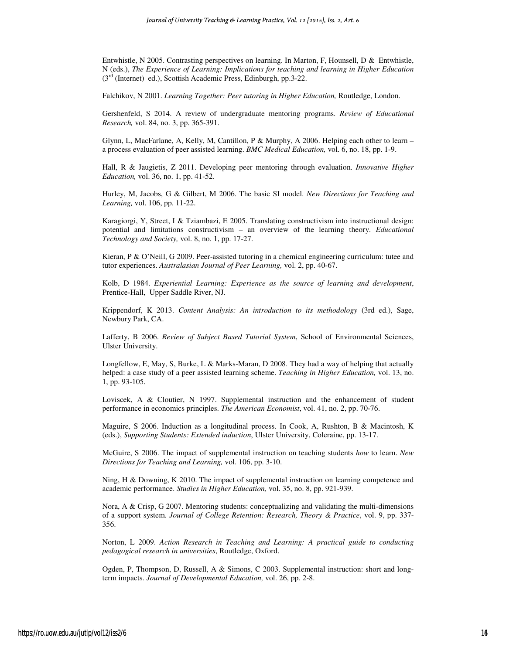Entwhistle, N 2005. Contrasting perspectives on learning. In Marton, F, Hounsell, D & Entwhistle, N (eds.), *The Experience of Learning: Implications for teaching and learning in Higher Education*  $(3<sup>rd</sup>$  (Internet) ed.), Scottish Academic Press, Edinburgh, pp.3-22.

Falchikov, N 2001. *Learning Together: Peer tutoring in Higher Education,* Routledge, London.

Gershenfeld, S 2014. A review of undergraduate mentoring programs. *Review of Educational Research,* vol. 84, no. 3, pp. 365-391.

Glynn, L, MacFarlane, A, Kelly, M, Cantillon, P & Murphy, A 2006. Helping each other to learn – a process evaluation of peer assisted learning. *BMC Medical Education,* vol. 6, no. 18, pp. 1-9.

Hall, R & Jaugietis, Z 2011. Developing peer mentoring through evaluation. *Innovative Higher Education,* vol. 36, no. 1, pp. 41-52.

Hurley, M, Jacobs, G & Gilbert, M 2006. The basic SI model. *New Directions for Teaching and Learning,* vol. 106, pp. 11-22.

Karagiorgi, Y, Street, I & Tziambazi, E 2005. Translating constructivism into instructional design: potential and limitations constructivism – an overview of the learning theory. *Educational Technology and Society,* vol. 8, no. 1, pp. 17-27.

Kieran, P & O'Neill, G 2009. Peer-assisted tutoring in a chemical engineering curriculum: tutee and tutor experiences. *Australasian Journal of Peer Learning,* vol. 2, pp. 40-67.

Kolb, D 1984. *Experiential Learning: Experience as the source of learning and development*, Prentice-Hall, Upper Saddle River, NJ.

Krippendorf, K 2013. *Content Analysis: An introduction to its methodology* (3rd ed.), Sage, Newbury Park, CA.

Lafferty, B 2006. *Review of Subject Based Tutorial System*, School of Environmental Sciences, Ulster University.

Longfellow, E, May, S, Burke, L & Marks-Maran, D 2008. They had a way of helping that actually helped: a case study of a peer assisted learning scheme. *Teaching in Higher Education,* vol. 13, no. 1, pp. 93-105.

Loviscek, A & Cloutier, N 1997. Supplemental instruction and the enhancement of student performance in economics principles. *The American Economist*, vol. 41, no. 2, pp. 70-76.

Maguire, S 2006. Induction as a longitudinal process. In Cook, A, Rushton, B & Macintosh, K (eds.), *Supporting Students: Extended induction*, Ulster University, Coleraine, pp. 13-17.

McGuire, S 2006. The impact of supplemental instruction on teaching students *how* to learn. *New Directions for Teaching and Learning,* vol. 106, pp. 3-10.

Ning, H & Downing, K 2010. The impact of supplemental instruction on learning competence and academic performance. *Studies in Higher Education,* vol. 35, no. 8, pp. 921-939.

Nora, A & Crisp, G 2007. Mentoring students: conceptualizing and validating the multi-dimensions of a support system. *Journal of College Retention: Research, Theory & Practice*, vol. 9, pp. 337- 356.

Norton, L 2009. *Action Research in Teaching and Learning: A practical guide to conducting pedagogical research in universities*, Routledge, Oxford.

Ogden, P, Thompson, D, Russell, A & Simons, C 2003. Supplemental instruction: short and longterm impacts. *Journal of Developmental Education,* vol. 26, pp. 2-8.